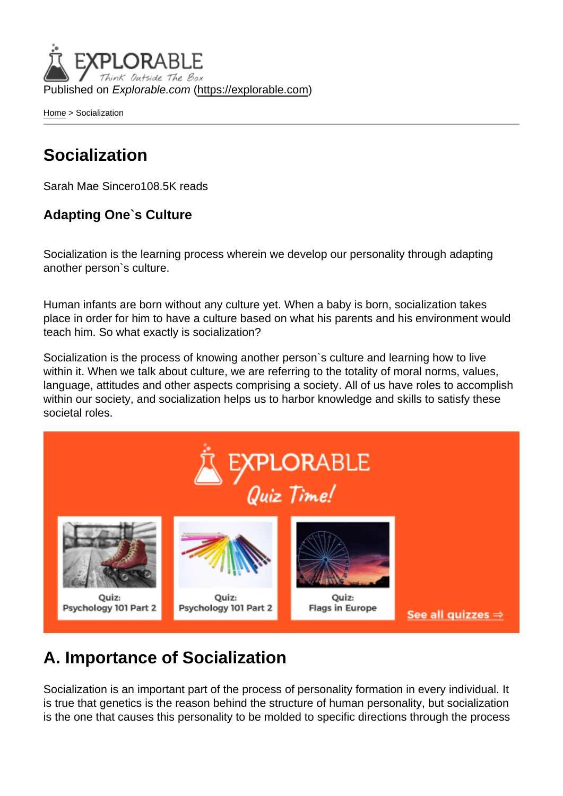Published on Explorable.com (<https://explorable.com>)

[Home](https://explorable.com/) > Socialization

# Socialization

Sarah Mae Sincero108.5K reads

Adapting One`s Culture

Socialization is the learning process wherein we develop our personality through adapting another person`s culture.

Human infants are born without any culture yet. When a baby is born, socialization takes place in order for him to have a culture based on what his parents and his environment would teach him. So what exactly is socialization?

Socialization is the process of knowing another person`s culture and learning how to live within it. When we talk about culture, we are referring to the totality of moral norms, values, language, attitudes and other aspects comprising a society. All of us have roles to accomplish within our society, and socialization helps us to harbor knowledge and skills to satisfy these societal roles.

# A. Importance of Socialization

Socialization is an important part of the process of personality formation in every individual. It is true that genetics is the reason behind the structure of human personality, but socialization is the one that causes this personality to be molded to specific directions through the process